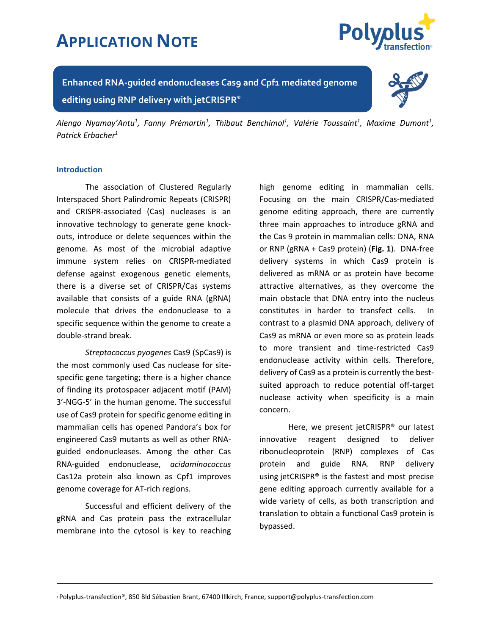

**Enhanced RNA-guided endonucleases Cas9 and Cpf1 mediated genome editing using RNP delivery with jetCRISPR®**



Alengo Nyamay'Antu<sup>1</sup>, Fanny Prémartin<sup>1</sup>, Thibaut Benchimol<sup>1</sup>, Valérie Toussaint<sup>1</sup>, Maxime Dumont<sup>1</sup>, *Patrick Erbacher1*

#### **Introduction**

The association of Clustered Regularly Interspaced Short Palindromic Repeats (CRISPR) and CRISPR-associated (Cas) nucleases is an innovative technology to generate gene knockouts, introduce or delete sequences within the genome. As most of the microbial adaptive immune system relies on CRISPR-mediated defense against exogenous genetic elements, there is a diverse set of CRISPR/Cas systems available that consists of a guide RNA (gRNA) molecule that drives the endonuclease to a specific sequence within the genome to create a double-strand break.

*Streptococcus pyogenes* Cas9 (SpCas9) is the most commonly used Cas nuclease for sitespecific gene targeting; there is a higher chance of finding its protospacer adjacent motif (PAM) 3'-NGG-5' in the human genome. The successful use of Cas9 protein for specific genome editing in mammalian cells has opened Pandora's box for engineered Cas9 mutants as well as other RNAguided endonucleases. Among the other Cas RNA-guided endonuclease, *acidaminococcus* Cas12a protein also known as Cpf1 improves genome coverage for AT-rich regions.

Successful and efficient delivery of the gRNA and Cas protein pass the extracellular membrane into the cytosol is key to reaching

high genome editing in mammalian cells. Focusing on the main CRISPR/Cas-mediated genome editing approach, there are currently three main approaches to introduce gRNA and the Cas 9 protein in mammalian cells: DNA, RNA or RNP (gRNA + Cas9 protein) (**Fig. 1**). DNA-free delivery systems in which Cas9 protein is delivered as mRNA or as protein have become attractive alternatives, as they overcome the main obstacle that DNA entry into the nucleus constitutes in harder to transfect cells. In contrast to a plasmid DNA approach, delivery of Cas9 as mRNA or even more so as protein leads to more transient and time-restricted Cas9 endonuclease activity within cells. Therefore, delivery of Cas9 as a protein is currently the bestsuited approach to reduce potential off-target nuclease activity when specificity is a main concern.

Here, we present jetCRISPR® our latest innovative reagent designed to deliver ribonucleoprotein (RNP) complexes of Cas protein and guide RNA. RNP delivery using jetCRISPR® is the fastest and most precise gene editing approach currently available for a wide variety of cells, as both transcription and translation to obtain a functional Cas9 protein is bypassed.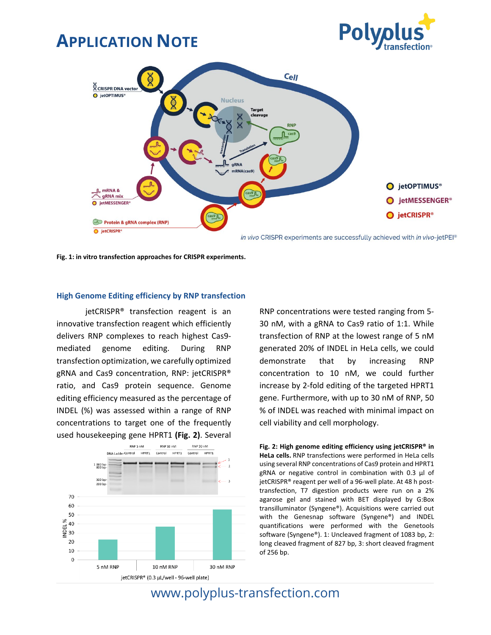



in vivo CRISPR experiments are successfully achieved with in vivo-jetPEI®

**Fig. 1: in vitro transfection approaches for CRISPR experiments.**

#### **High Genome Editing efficiency by RNP transfection**

jetCRISPR® transfection reagent is an innovative transfection reagent which efficiently delivers RNP complexes to reach highest Cas9 mediated genome editing. During RNP transfection optimization, we carefully optimized gRNA and Cas9 concentration, RNP: jetCRISPR® ratio, and Cas9 protein sequence. Genome editing efficiency measured as the percentage of INDEL (%) was assessed within a range of RNP concentrations to target one of the frequently used housekeeping gene HPRT1 **(Fig. 2)**. Several



RNP concentrations were tested ranging from 5- 30 nM, with a gRNA to Cas9 ratio of 1:1. While transfection of RNP at the lowest range of 5 nM generated 20% of INDEL in HeLa cells, we could demonstrate that by increasing RNP concentration to 10 nM, we could further increase by 2-fold editing of the targeted HPRT1 gene. Furthermore, with up to 30 nM of RNP, 50 % of INDEL was reached with minimal impact on cell viability and cell morphology.

**Fig. 2: High genome editing efficiency using jetCRISPR® in HeLa cells.** RNP transfections were performed in HeLa cells using several RNP concentrations of Cas9 protein and HPRT1 gRNA or negative control in combination with 0.3 µl of jetCRISPR® reagent per well of a 96-well plate. At 48 h posttransfection, T7 digestion products were run on a 2% agarose gel and stained with BET displayed by G:Box transilluminator (Syngene®). Acquisitions were carried out with the Genesnap software (Syngene®) and INDEL quantifications were performed with the Genetools software (Syngene®). 1: Uncleaved fragment of 1083 bp, 2: long cleaved fragment of 827 bp, 3: short cleaved fragment of 256 bp.

## www.polyplus-transfection.com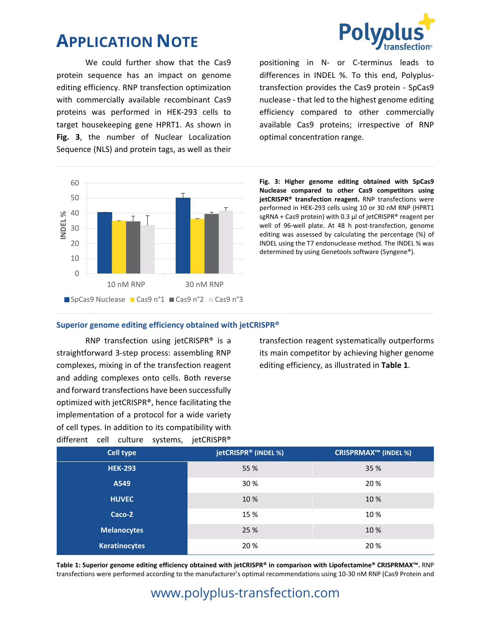We could further show that the Cas9 protein sequence has an impact on genome editing efficiency. RNP transfection optimization with commercially available recombinant Cas9 proteins was performed in HEK-293 cells to target housekeeping gene HPRT1. As shown in **Fig. 3**, the number of Nuclear Localization Sequence (NLS) and protein tags, as well as their



**Fig. 3: Higher genome editing obtained with SpCas9 Nuclease compared to other Cas9 competitors using jetCRISPR® transfection reagent.** RNP transfections were performed in HEK-293 cells using 10 or 30 nM RNP (HPRT1 sgRNA + Cas9 protein) with 0.3 µl of jetCRISPR® reagent per well of 96-well plate. At 48 h post-transfection, genome editing was assessed by calculating the percentage (%) of INDEL using the T7 endonuclease method. The INDEL % was determined by using Genetools software (Syngene®).

positioning in N- or C-terminus leads to differences in INDEL %. To this end, Polyplustransfection provides the Cas9 protein - SpCas9 nuclease - that led to the highest genome editing efficiency compared to other commercially available Cas9 proteins; irrespective of RNP

optimal concentration range.

#### **Superior genome editing efficiency obtained with jetCRISPR®**

RNP transfection using jetCRISPR® is a straightforward 3-step process: assembling RNP complexes, mixing in of the transfection reagent and adding complexes onto cells. Both reverse and forward transfections have been successfully optimized with jetCRISPR®, hence facilitating the implementation of a protocol for a wide variety of cell types. In addition to its compatibility with different cell culture systems, jetCRISPR®

transfection reagent systematically outperforms its main competitor by achieving higher genome editing efficiency, as illustrated in **Table 1**.

| <b>Cell type</b>     | jetCRISPR <sup>®</sup> (INDEL %) | <b>CRISPRMAX™ (INDEL %)</b> |
|----------------------|----------------------------------|-----------------------------|
| <b>HEK-293</b>       | 55 %                             | 35 %                        |
| A549                 | 30 %                             | 20 %                        |
| <b>HUVEC</b>         | 10 %                             | 10 %                        |
| Caco-2               | 15 %                             | 10%                         |
| <b>Melanocytes</b>   | 25 %                             | 10 %                        |
| <b>Keratinocytes</b> | 20 %                             | 20 %                        |

**Table 1: Superior genome editing efficiency obtained with jetCRISPR® in comparison with Lipofectamine® CRISPRMAX™.** RNP transfections were performed according to the manufacturer's optimal recommendations using 10-30 nM RNP (Cas9 Protein and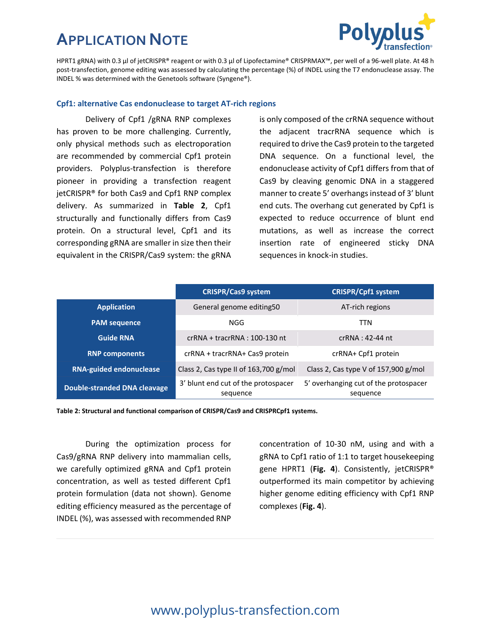

HPRT1 gRNA) with 0.3 µl of jetCRISPR® reagent or with 0.3 µl of Lipofectamine® CRISPRMAX™, per well of a 96-well plate. At 48 h post-transfection, genome editing was assessed by calculating the percentage (%) of INDEL using the T7 endonuclease assay. The INDEL % was determined with the Genetools software (Syngene®).

#### **Cpf1: alternative Cas endonuclease to target AT-rich regions**

Delivery of Cpf1 /gRNA RNP complexes has proven to be more challenging. Currently, only physical methods such as electroporation are recommended by commercial Cpf1 protein providers. Polyplus-transfection is therefore pioneer in providing a transfection reagent jetCRISPR® for both Cas9 and Cpf1 RNP complex delivery. As summarized in **Table 2**, Cpf1 structurally and functionally differs from Cas9 protein. On a structural level, Cpf1 and its corresponding gRNA are smaller in size then their equivalent in the CRISPR/Cas9 system: the gRNA

is only composed of the crRNA sequence without the adjacent tracrRNA sequence which is required to drive the Cas9 protein to the targeted DNA sequence. On a functional level, the endonuclease activity of Cpf1 differs from that of Cas9 by cleaving genomic DNA in a staggered manner to create 5' overhangs instead of 3' blunt end cuts. The overhang cut generated by Cpf1 is expected to reduce occurrence of blunt end mutations, as well as increase the correct insertion rate of engineered sticky DNA sequences in knock-in studies.

|                                     | <b>CRISPR/Cas9 system</b>                       | <b>CRISPR/Cpf1 system</b>                         |
|-------------------------------------|-------------------------------------------------|---------------------------------------------------|
| <b>Application</b>                  | General genome editing50                        | AT-rich regions                                   |
| <b>PAM</b> sequence                 | NGG                                             | <b>TTN</b>                                        |
| <b>Guide RNA</b>                    | $crRNA + tracrRNA : 100-130$ nt                 | $crRNA: 42-44$ nt                                 |
| <b>RNP components</b>               | crRNA + tracrRNA+ Cas9 protein                  | crRNA+ Cpf1 protein                               |
| <b>RNA-guided endonuclease</b>      | Class 2, Cas type II of 163,700 g/mol           | Class 2, Cas type V of 157,900 g/mol              |
| <b>Double-stranded DNA cleavage</b> | 3' blunt end cut of the protospacer<br>sequence | 5' overhanging cut of the protospacer<br>sequence |

**Table 2: Structural and functional comparison of CRISPR/Cas9 and CRISPRCpf1 systems.**

During the optimization process for Cas9/gRNA RNP delivery into mammalian cells, we carefully optimized gRNA and Cpf1 protein concentration, as well as tested different Cpf1 protein formulation (data not shown). Genome editing efficiency measured as the percentage of INDEL (%), was assessed with recommended RNP

concentration of 10-30 nM, using and with a gRNA to Cpf1 ratio of 1:1 to target housekeeping gene HPRT1 (**Fig. 4**). Consistently, jetCRISPR® outperformed its main competitor by achieving higher genome editing efficiency with Cpf1 RNP complexes (**Fig. 4**).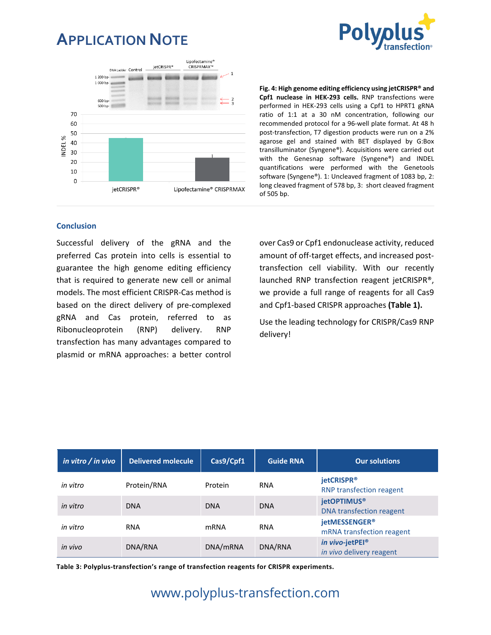



**Fig. 4: High genome editing efficiency using jetCRISPR® and Cpf1 nuclease in HEK-293 cells.** RNP transfections were performed in HEK-293 cells using a Cpf1 to HPRT1 gRNA ratio of 1:1 at a 30 nM concentration, following our recommended protocol for a 96-well plate format. At 48 h post-transfection, T7 digestion products were run on a 2% agarose gel and stained with BET displayed by G:Box transilluminator (Syngene®). Acquisitions were carried out with the Genesnap software (Syngene®) and INDEL quantifications were performed with the Genetools software (Syngene®). 1: Uncleaved fragment of 1083 bp, 2: long cleaved fragment of 578 bp, 3: short cleaved fragment of 505 bp.

#### **Conclusion**

Successful delivery of the gRNA and the preferred Cas protein into cells is essential to guarantee the high genome editing efficiency that is required to generate new cell or animal models. The most efficient CRISPR-Cas method is based on the direct delivery of pre-complexed gRNA and Cas protein, referred to as Ribonucleoprotein (RNP) delivery. RNP transfection has many advantages compared to plasmid or mRNA approaches: a better control

over Cas9 or Cpf1 endonuclease activity, reduced amount of off-target effects, and increased posttransfection cell viability. With our recently launched RNP transfection reagent jetCRISPR®, we provide a full range of reagents for all Cas9 and Cpf1-based CRISPR approaches **(Table 1).** 

Use the leading technology for CRISPR/Cas9 RNP delivery!

| in vitro $/$ in vivo | <b>Delivered molecule</b> | Cas9/Cpf1   | <b>Guide RNA</b> | <b>Our solutions</b>                                      |
|----------------------|---------------------------|-------------|------------------|-----------------------------------------------------------|
| in vitro             | Protein/RNA               | Protein     | <b>RNA</b>       | jetCRISPR <sup>®</sup><br><b>RNP transfection reagent</b> |
| in vitro             | <b>DNA</b>                | <b>DNA</b>  | <b>DNA</b>       | <b>jetOPTIMUS®</b><br><b>DNA transfection reagent</b>     |
| in vitro             | <b>RNA</b>                | <b>mRNA</b> | <b>RNA</b>       | jetMESSENGER®<br>mRNA transfection reagent                |
| in vivo              | DNA/RNA                   | DNA/mRNA    | DNA/RNA          | in vivo-jetPEI®<br>in vivo delivery reagent               |

**Table 3: Polyplus-transfection's range of transfection reagents for CRISPR experiments.**

### www.polyplus-transfection.com